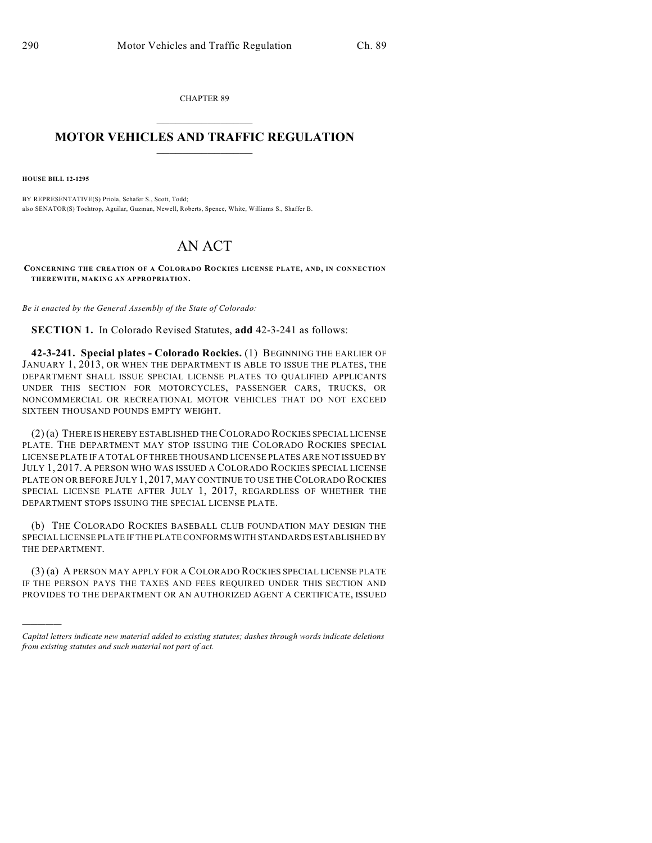CHAPTER 89  $\overline{\phantom{a}}$  . The set of the set of the set of the set of the set of the set of the set of the set of the set of the set of the set of the set of the set of the set of the set of the set of the set of the set of the set o

## **MOTOR VEHICLES AND TRAFFIC REGULATION**  $\frac{1}{2}$  ,  $\frac{1}{2}$  ,  $\frac{1}{2}$  ,  $\frac{1}{2}$  ,  $\frac{1}{2}$  ,  $\frac{1}{2}$  ,  $\frac{1}{2}$

**HOUSE BILL 12-1295**

)))))

BY REPRESENTATIVE(S) Priola, Schafer S., Scott, Todd; also SENATOR(S) Tochtrop, Aguilar, Guzman, Newell, Roberts, Spence, White, Williams S., Shaffer B.

## AN ACT

**CONCERNING THE CREATION OF A COLORADO ROCKIES LICENSE PLATE, AND, IN CONNECTION THEREWITH, MAKING AN APPROPRIATION.**

*Be it enacted by the General Assembly of the State of Colorado:*

**SECTION 1.** In Colorado Revised Statutes, **add** 42-3-241 as follows:

**42-3-241. Special plates - Colorado Rockies.** (1) BEGINNING THE EARLIER OF JANUARY 1, 2013, OR WHEN THE DEPARTMENT IS ABLE TO ISSUE THE PLATES, THE DEPARTMENT SHALL ISSUE SPECIAL LICENSE PLATES TO QUALIFIED APPLICANTS UNDER THIS SECTION FOR MOTORCYCLES, PASSENGER CARS, TRUCKS, OR NONCOMMERCIAL OR RECREATIONAL MOTOR VEHICLES THAT DO NOT EXCEED SIXTEEN THOUSAND POUNDS EMPTY WEIGHT.

(2) (a) THERE IS HEREBY ESTABLISHED THECOLORADO ROCKIES SPECIAL LICENSE PLATE. THE DEPARTMENT MAY STOP ISSUING THE COLORADO ROCKIES SPECIAL LICENSE PLATE IF A TOTAL OF THREE THOUSAND LICENSE PLATES ARE NOT ISSUED BY JULY 1, 2017. A PERSON WHO WAS ISSUED A COLORADO ROCKIES SPECIAL LICENSE PLATE ON OR BEFORE JULY 1, 2017, MAY CONTINUE TO USE THE COLORADO ROCKIES SPECIAL LICENSE PLATE AFTER JULY 1, 2017, REGARDLESS OF WHETHER THE DEPARTMENT STOPS ISSUING THE SPECIAL LICENSE PLATE.

(b) THE COLORADO ROCKIES BASEBALL CLUB FOUNDATION MAY DESIGN THE SPECIAL LICENSE PLATE IF THE PLATE CONFORMS WITH STANDARDS ESTABLISHED BY THE DEPARTMENT.

(3) (a) A PERSON MAY APPLY FOR A COLORADO ROCKIES SPECIAL LICENSE PLATE IF THE PERSON PAYS THE TAXES AND FEES REQUIRED UNDER THIS SECTION AND PROVIDES TO THE DEPARTMENT OR AN AUTHORIZED AGENT A CERTIFICATE, ISSUED

*Capital letters indicate new material added to existing statutes; dashes through words indicate deletions from existing statutes and such material not part of act.*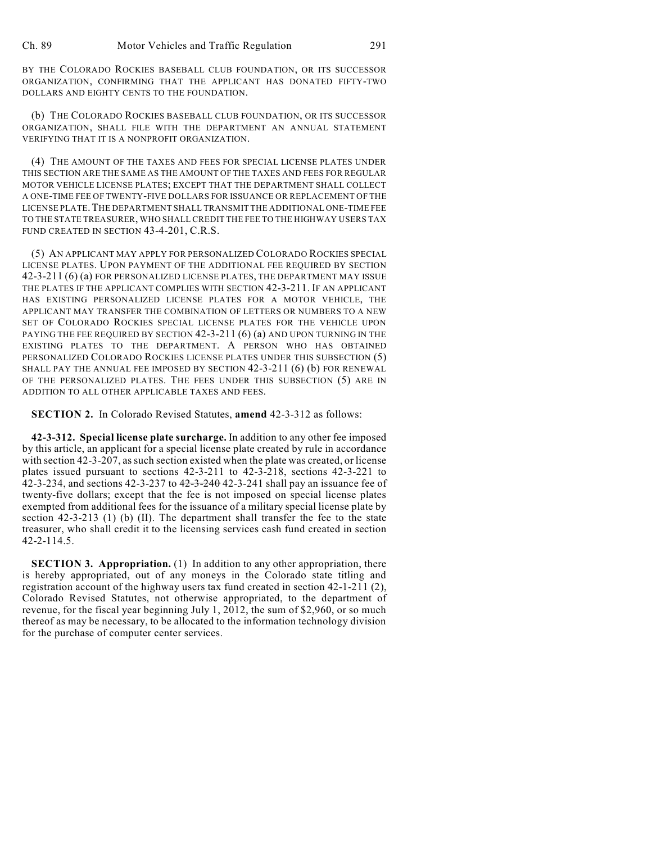BY THE COLORADO ROCKIES BASEBALL CLUB FOUNDATION, OR ITS SUCCESSOR ORGANIZATION, CONFIRMING THAT THE APPLICANT HAS DONATED FIFTY-TWO DOLLARS AND EIGHTY CENTS TO THE FOUNDATION.

(b) THE COLORADO ROCKIES BASEBALL CLUB FOUNDATION, OR ITS SUCCESSOR ORGANIZATION, SHALL FILE WITH THE DEPARTMENT AN ANNUAL STATEMENT VERIFYING THAT IT IS A NONPROFIT ORGANIZATION.

(4) THE AMOUNT OF THE TAXES AND FEES FOR SPECIAL LICENSE PLATES UNDER THIS SECTION ARE THE SAME AS THE AMOUNT OF THE TAXES AND FEES FOR REGULAR MOTOR VEHICLE LICENSE PLATES; EXCEPT THAT THE DEPARTMENT SHALL COLLECT A ONE-TIME FEE OF TWENTY-FIVE DOLLARS FOR ISSUANCE OR REPLACEMENT OF THE LICENSE PLATE.THE DEPARTMENT SHALL TRANSMIT THE ADDITIONAL ONE-TIME FEE TO THE STATE TREASURER, WHO SHALL CREDIT THE FEE TO THE HIGHWAY USERS TAX FUND CREATED IN SECTION 43-4-201, C.R.S.

(5) AN APPLICANT MAY APPLY FOR PERSONALIZED COLORADO ROCKIES SPECIAL LICENSE PLATES. UPON PAYMENT OF THE ADDITIONAL FEE REQUIRED BY SECTION 42-3-211 (6) (a) FOR PERSONALIZED LICENSE PLATES, THE DEPARTMENT MAY ISSUE THE PLATES IF THE APPLICANT COMPLIES WITH SECTION 42-3-211. IF AN APPLICANT HAS EXISTING PERSONALIZED LICENSE PLATES FOR A MOTOR VEHICLE, THE APPLICANT MAY TRANSFER THE COMBINATION OF LETTERS OR NUMBERS TO A NEW SET OF COLORADO ROCKIES SPECIAL LICENSE PLATES FOR THE VEHICLE UPON PAYING THE FEE REQUIRED BY SECTION 42-3-211 (6) (a) AND UPON TURNING IN THE EXISTING PLATES TO THE DEPARTMENT. A PERSON WHO HAS OBTAINED PERSONALIZED COLORADO ROCKIES LICENSE PLATES UNDER THIS SUBSECTION (5) SHALL PAY THE ANNUAL FEE IMPOSED BY SECTION 42-3-211 (6) (b) FOR RENEWAL OF THE PERSONALIZED PLATES. THE FEES UNDER THIS SUBSECTION (5) ARE IN ADDITION TO ALL OTHER APPLICABLE TAXES AND FEES.

**SECTION 2.** In Colorado Revised Statutes, **amend** 42-3-312 as follows:

**42-3-312. Special license plate surcharge.** In addition to any other fee imposed by this article, an applicant for a special license plate created by rule in accordance with section 42-3-207, as such section existed when the plate was created, or license plates issued pursuant to sections 42-3-211 to 42-3-218, sections 42-3-221 to 42-3-234, and sections 42-3-237 to  $42-3-240$  42-3-241 shall pay an issuance fee of twenty-five dollars; except that the fee is not imposed on special license plates exempted from additional fees for the issuance of a military special license plate by section 42-3-213 (1) (b) (II). The department shall transfer the fee to the state treasurer, who shall credit it to the licensing services cash fund created in section 42-2-114.5.

**SECTION 3. Appropriation.** (1) In addition to any other appropriation, there is hereby appropriated, out of any moneys in the Colorado state titling and registration account of the highway users tax fund created in section 42-1-211 (2), Colorado Revised Statutes, not otherwise appropriated, to the department of revenue, for the fiscal year beginning July 1, 2012, the sum of \$2,960, or so much thereof as may be necessary, to be allocated to the information technology division for the purchase of computer center services.